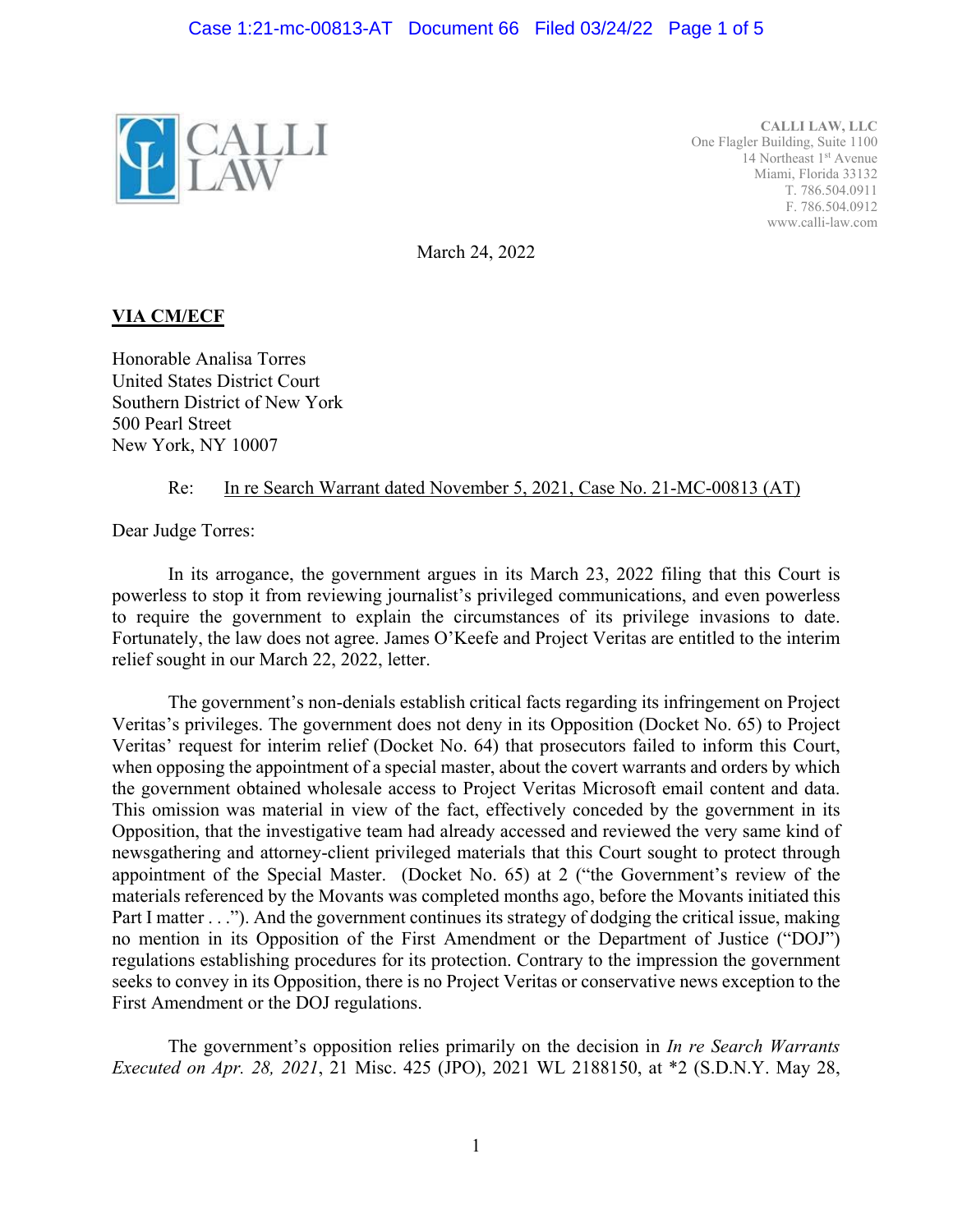

**CALLI LAW, LLC**  One Flagler Building, Suite 1100 14 Northeast 1<sup>st</sup> Avenue Miami, Florida 33132 T. 786.504.0911 F. 786.504.0912 www.calli-law.com

March 24, 2022

## **VIA CM/ECF**

Honorable Analisa Torres United States District Court Southern District of New York 500 Pearl Street New York, NY 10007

### Re: In re Search Warrant dated November 5, 2021, Case No. 21-MC-00813 (AT)

Dear Judge Torres:

In its arrogance, the government argues in its March 23, 2022 filing that this Court is powerless to stop it from reviewing journalist's privileged communications, and even powerless to require the government to explain the circumstances of its privilege invasions to date. Fortunately, the law does not agree. James O'Keefe and Project Veritas are entitled to the interim relief sought in our March 22, 2022, letter.

The government's non-denials establish critical facts regarding its infringement on Project Veritas's privileges. The government does not deny in its Opposition (Docket No. 65) to Project Veritas' request for interim relief (Docket No. 64) that prosecutors failed to inform this Court, when opposing the appointment of a special master, about the covert warrants and orders by which the government obtained wholesale access to Project Veritas Microsoft email content and data. This omission was material in view of the fact, effectively conceded by the government in its Opposition, that the investigative team had already accessed and reviewed the very same kind of newsgathering and attorney-client privileged materials that this Court sought to protect through appointment of the Special Master. (Docket No. 65) at 2 ("the Government's review of the materials referenced by the Movants was completed months ago, before the Movants initiated this Part I matter . . ."). And the government continues its strategy of dodging the critical issue, making no mention in its Opposition of the First Amendment or the Department of Justice ("DOJ") regulations establishing procedures for its protection. Contrary to the impression the government seeks to convey in its Opposition, there is no Project Veritas or conservative news exception to the First Amendment or the DOJ regulations.

The government's opposition relies primarily on the decision in *In re Search Warrants Executed on Apr. 28, 2021*, 21 Misc. 425 (JPO), 2021 WL 2188150, at \*2 (S.D.N.Y. May 28,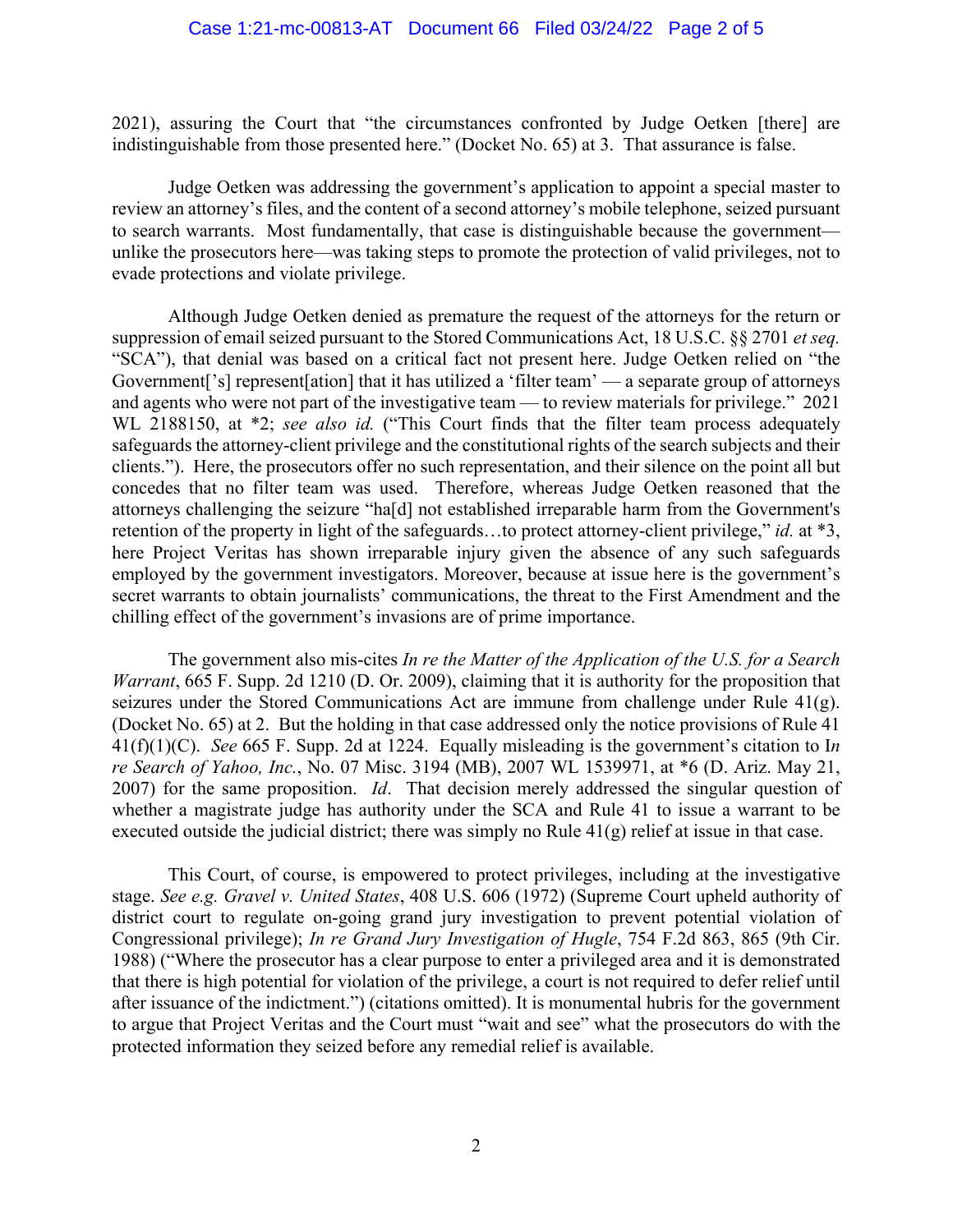2021), assuring the Court that "the circumstances confronted by Judge Oetken [there] are indistinguishable from those presented here." (Docket No. 65) at 3. That assurance is false.

Judge Oetken was addressing the government's application to appoint a special master to review an attorney's files, and the content of a second attorney's mobile telephone, seized pursuant to search warrants. Most fundamentally, that case is distinguishable because the government unlike the prosecutors here—was taking steps to promote the protection of valid privileges, not to evade protections and violate privilege.

Although Judge Oetken denied as premature the request of the attorneys for the return or suppression of email seized pursuant to the Stored Communications Act, 18 U.S.C. §§ 2701 *et seq.* "SCA"), that denial was based on a critical fact not present here. Judge Oetken relied on "the Government['s] represent[ation] that it has utilized a 'filter team' — a separate group of attorneys and agents who were not part of the investigative team — to review materials for privilege." 2021 WL 2188150, at \*2; *see also id.* ("This Court finds that the filter team process adequately safeguards the attorney-client privilege and the constitutional rights of the search subjects and their clients."). Here, the prosecutors offer no such representation, and their silence on the point all but concedes that no filter team was used. Therefore, whereas Judge Oetken reasoned that the attorneys challenging the seizure "ha[d] not established irreparable harm from the Government's retention of the property in light of the safeguards…to protect attorney-client privilege," *id.* at \*3, here Project Veritas has shown irreparable injury given the absence of any such safeguards employed by the government investigators. Moreover, because at issue here is the government's secret warrants to obtain journalists' communications, the threat to the First Amendment and the chilling effect of the government's invasions are of prime importance.

The government also mis-cites *In re the Matter of the Application of the U.S. for a Search Warrant*, 665 F. Supp. 2d 1210 (D. Or. 2009), claiming that it is authority for the proposition that seizures under the Stored Communications Act are immune from challenge under Rule 41(g). (Docket No. 65) at 2. But the holding in that case addressed only the notice provisions of Rule 41 41(f)(1)(C). *See* 665 F. Supp. 2d at 1224. Equally misleading is the government's citation to I*n re Search of Yahoo, Inc.*, No. 07 Misc. 3194 (MB), 2007 WL 1539971, at \*6 (D. Ariz. May 21, 2007) for the same proposition. *Id*. That decision merely addressed the singular question of whether a magistrate judge has authority under the SCA and Rule 41 to issue a warrant to be executed outside the judicial district; there was simply no Rule  $41(g)$  relief at issue in that case.

This Court, of course, is empowered to protect privileges, including at the investigative stage. *See e.g. Gravel v. United States*, 408 U.S. 606 (1972) (Supreme Court upheld authority of district court to regulate on-going grand jury investigation to prevent potential violation of Congressional privilege); *In re Grand Jury Investigation of Hugle*, 754 F.2d 863, 865 (9th Cir. 1988) ("Where the prosecutor has a clear purpose to enter a privileged area and it is demonstrated that there is high potential for violation of the privilege, a court is not required to defer relief until after issuance of the indictment.") (citations omitted). It is monumental hubris for the government to argue that Project Veritas and the Court must "wait and see" what the prosecutors do with the protected information they seized before any remedial relief is available.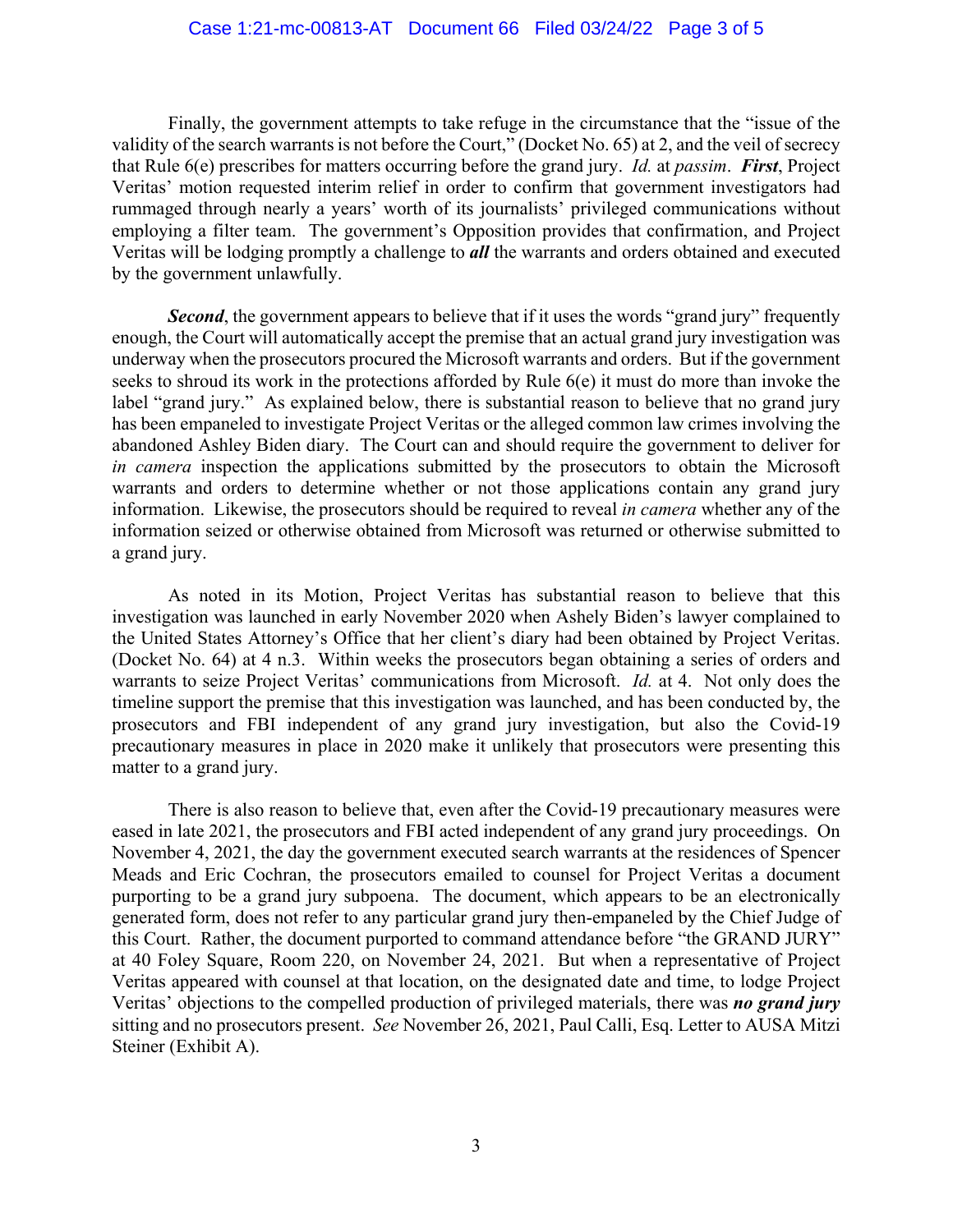Finally, the government attempts to take refuge in the circumstance that the "issue of the validity of the search warrants is not before the Court," (Docket No. 65) at 2, and the veil of secrecy that Rule 6(e) prescribes for matters occurring before the grand jury. *Id.* at *passim*. *First*, Project Veritas' motion requested interim relief in order to confirm that government investigators had rummaged through nearly a years' worth of its journalists' privileged communications without employing a filter team. The government's Opposition provides that confirmation, and Project Veritas will be lodging promptly a challenge to *all* the warrants and orders obtained and executed by the government unlawfully.

**Second**, the government appears to believe that if it uses the words "grand jury" frequently enough, the Court will automatically accept the premise that an actual grand jury investigation was underway when the prosecutors procured the Microsoft warrants and orders. But if the government seeks to shroud its work in the protections afforded by Rule 6(e) it must do more than invoke the label "grand jury." As explained below, there is substantial reason to believe that no grand jury has been empaneled to investigate Project Veritas or the alleged common law crimes involving the abandoned Ashley Biden diary. The Court can and should require the government to deliver for *in camera* inspection the applications submitted by the prosecutors to obtain the Microsoft warrants and orders to determine whether or not those applications contain any grand jury information. Likewise, the prosecutors should be required to reveal *in camera* whether any of the information seized or otherwise obtained from Microsoft was returned or otherwise submitted to a grand jury.

 As noted in its Motion, Project Veritas has substantial reason to believe that this investigation was launched in early November 2020 when Ashely Biden's lawyer complained to the United States Attorney's Office that her client's diary had been obtained by Project Veritas. (Docket No. 64) at 4 n.3. Within weeks the prosecutors began obtaining a series of orders and warrants to seize Project Veritas' communications from Microsoft. *Id.* at 4. Not only does the timeline support the premise that this investigation was launched, and has been conducted by, the prosecutors and FBI independent of any grand jury investigation, but also the Covid-19 precautionary measures in place in 2020 make it unlikely that prosecutors were presenting this matter to a grand jury.

 There is also reason to believe that, even after the Covid-19 precautionary measures were eased in late 2021, the prosecutors and FBI acted independent of any grand jury proceedings. On November 4, 2021, the day the government executed search warrants at the residences of Spencer Meads and Eric Cochran, the prosecutors emailed to counsel for Project Veritas a document purporting to be a grand jury subpoena. The document, which appears to be an electronically generated form, does not refer to any particular grand jury then-empaneled by the Chief Judge of this Court. Rather, the document purported to command attendance before "the GRAND JURY" at 40 Foley Square, Room 220, on November 24, 2021. But when a representative of Project Veritas appeared with counsel at that location, on the designated date and time, to lodge Project Veritas' objections to the compelled production of privileged materials, there was *no grand jury* sitting and no prosecutors present. *See* November 26, 2021, Paul Calli, Esq. Letter to AUSA Mitzi Steiner (Exhibit A).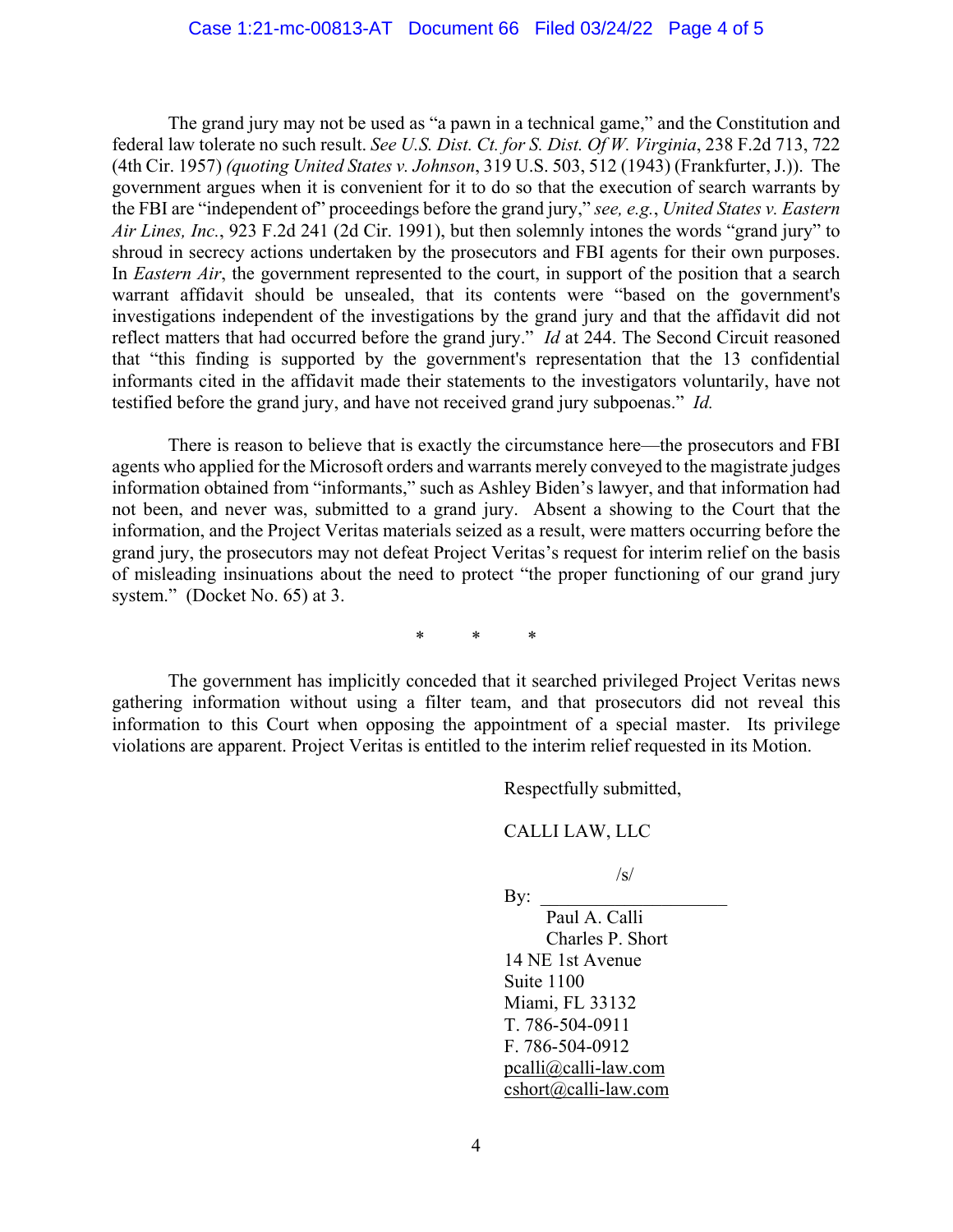The grand jury may not be used as "a pawn in a technical game," and the Constitution and federal law tolerate no such result. *See U.S. Dist. Ct. for S. Dist. Of W. Virginia*, 238 F.2d 713, 722 (4th Cir. 1957) *(quoting United States v. Johnson*, 319 U.S. 503, 512 (1943) (Frankfurter, J.)). The government argues when it is convenient for it to do so that the execution of search warrants by the FBI are "independent of" proceedings before the grand jury," *see, e.g.*, *United States v. Eastern Air Lines, Inc.*, 923 F.2d 241 (2d Cir. 1991), but then solemnly intones the words "grand jury" to shroud in secrecy actions undertaken by the prosecutors and FBI agents for their own purposes. In *Eastern Air*, the government represented to the court, in support of the position that a search warrant affidavit should be unsealed, that its contents were "based on the government's investigations independent of the investigations by the grand jury and that the affidavit did not reflect matters that had occurred before the grand jury." *Id* at 244. The Second Circuit reasoned that "this finding is supported by the government's representation that the 13 confidential informants cited in the affidavit made their statements to the investigators voluntarily, have not testified before the grand jury, and have not received grand jury subpoenas." *Id.*

 There is reason to believe that is exactly the circumstance here—the prosecutors and FBI agents who applied for the Microsoft orders and warrants merely conveyed to the magistrate judges information obtained from "informants," such as Ashley Biden's lawyer, and that information had not been, and never was, submitted to a grand jury. Absent a showing to the Court that the information, and the Project Veritas materials seized as a result, were matters occurring before the grand jury, the prosecutors may not defeat Project Veritas's request for interim relief on the basis of misleading insinuations about the need to protect "the proper functioning of our grand jury system." (Docket No. 65) at 3.

\* \* \*

 The government has implicitly conceded that it searched privileged Project Veritas news gathering information without using a filter team, and that prosecutors did not reveal this information to this Court when opposing the appointment of a special master. Its privilege violations are apparent. Project Veritas is entitled to the interim relief requested in its Motion.

Respectfully submitted,

#### CALLI LAW, LLC

 $\sqrt{s}$ /

 $\rm\,By:$ Paul A. Calli Charles P. Short 14 NE 1st Avenue Suite 1100 Miami, FL 33132 T. 786-504-0911 F. 786-504-0912 pcalli@calli-law.com cshort@calli-law.com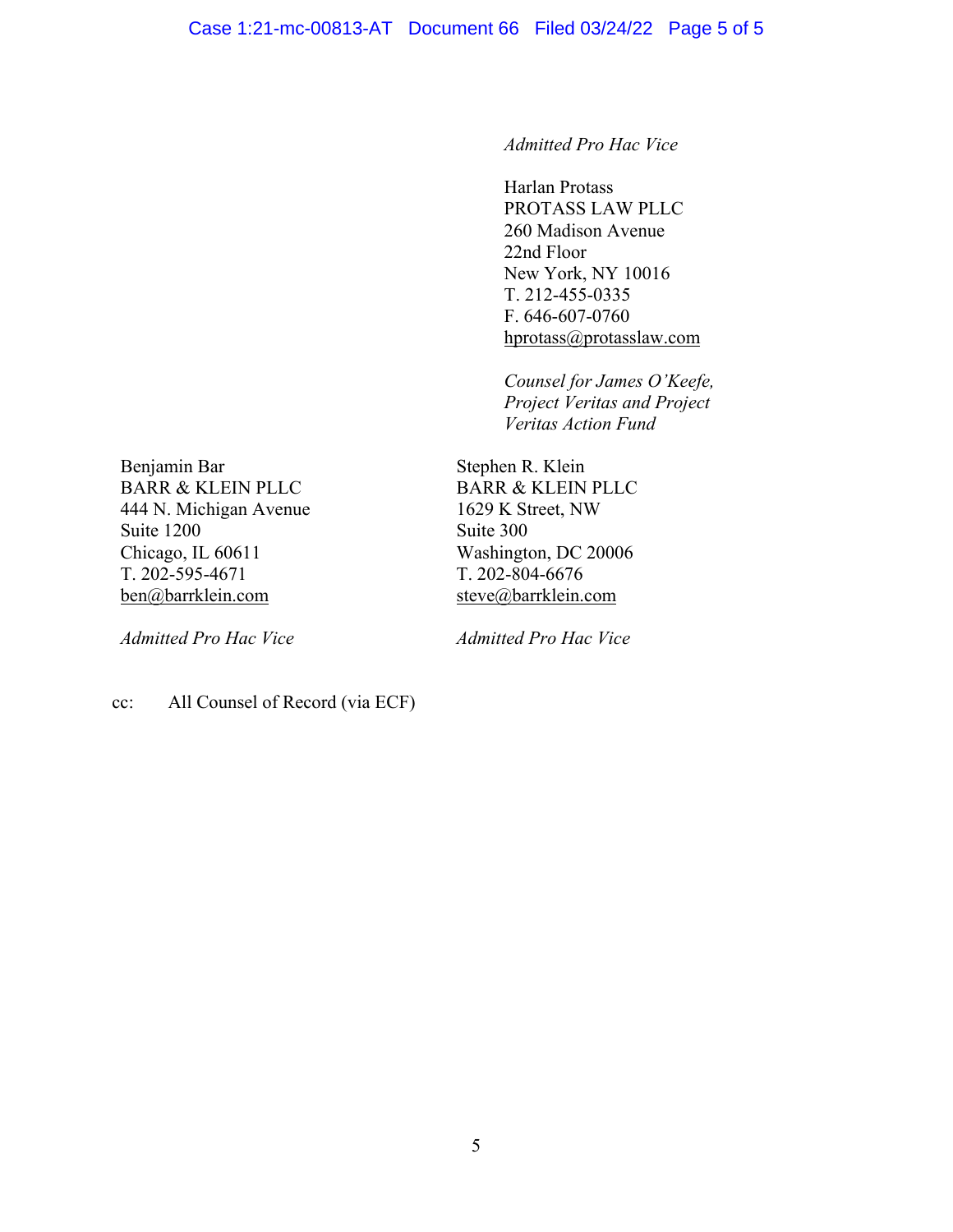*Admitted Pro Hac Vice* 

Harlan Protass PROTASS LAW PLLC 260 Madison Avenue 22nd Floor New York, NY 10016 T. 212-455-0335 F. 646-607-0760 hprotass@protasslaw.com

 *Counsel for James O'Keefe, Project Veritas and Project Veritas Action Fund* 

Benjamin Bar BARR & KLEIN PLLC 444 N. Michigan Avenue Suite 1200 Chicago, IL 60611 T. 202-595-4671 ben@barrklein.com

*Admitted Pro Hac Vice* 

Stephen R. Klein BARR & KLEIN PLLC 1629 K Street, NW Suite 300 Washington, DC 20006 T. 202-804-6676 steve@barrklein.com

*Admitted Pro Hac Vice* 

cc: All Counsel of Record (via ECF)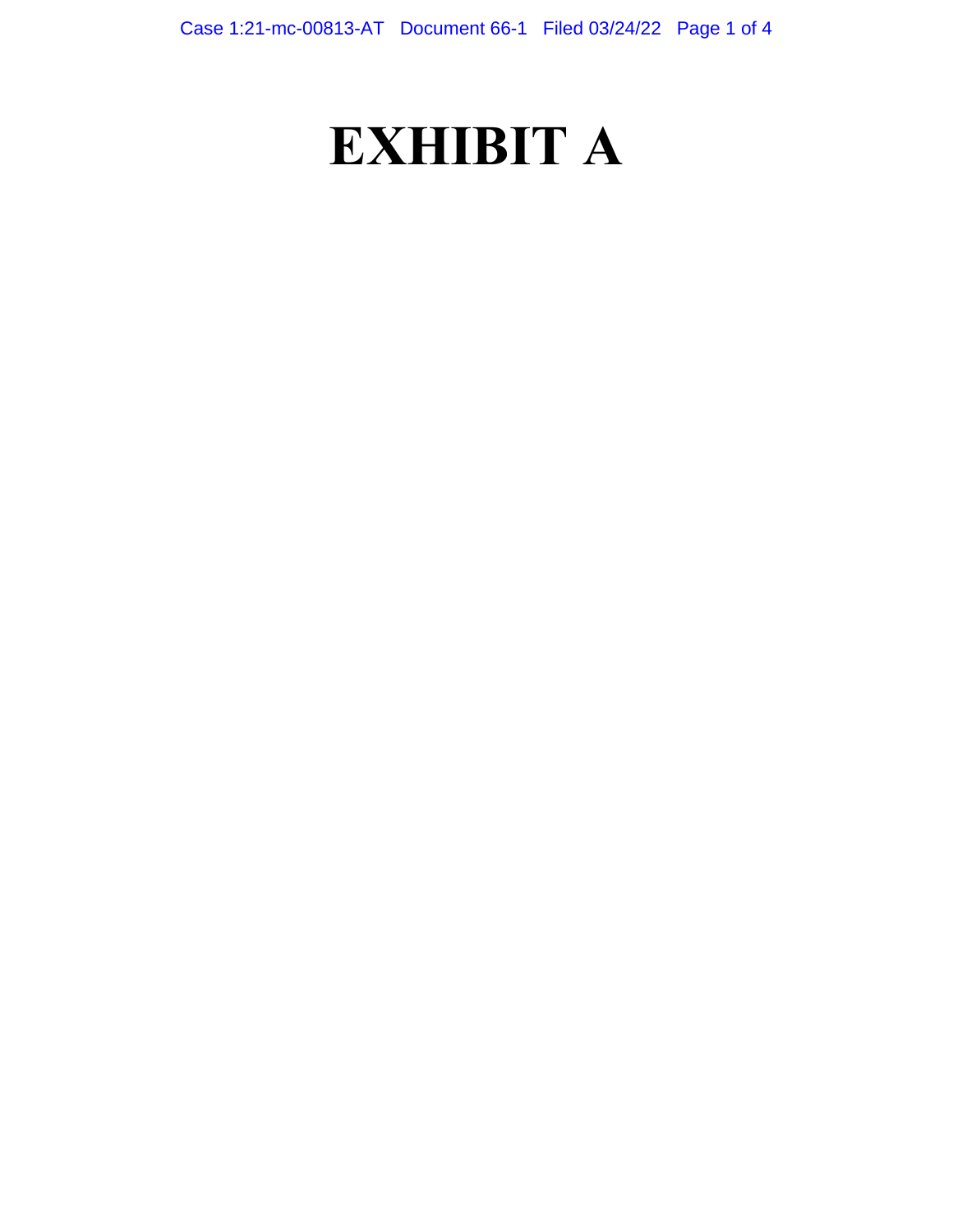# **EXHIBIT A**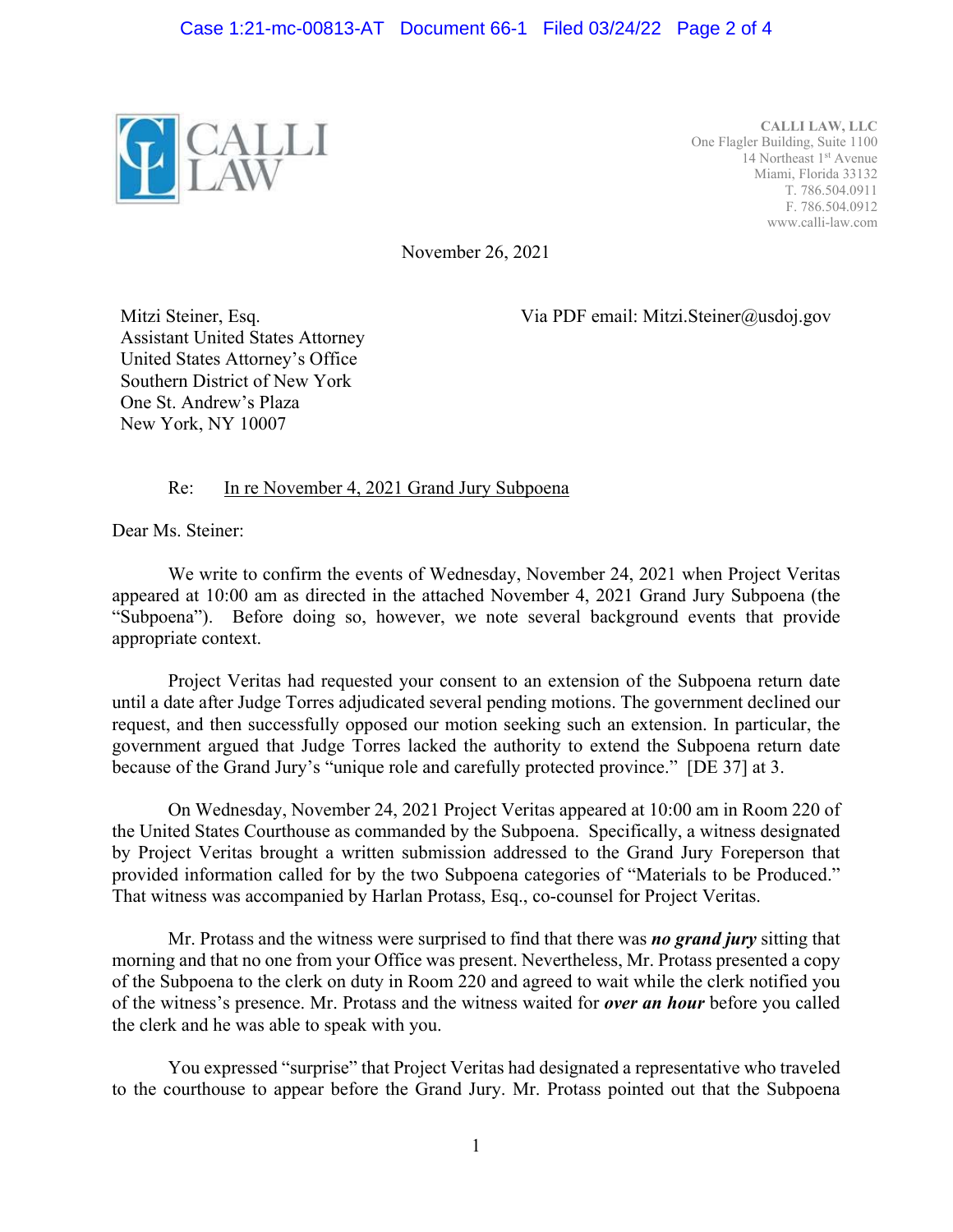

**CALLI LAW, LLC**  One Flagler Building, Suite 1100 14 Northeast 1<sup>st</sup> Avenue Miami, Florida 33132 T. 786.504.0911 F. 786.504.0912 www.calli-law.com

November 26, 2021

Via PDF email: Mitzi.Steiner@usdoj.gov

Mitzi Steiner, Esq. Assistant United States Attorney United States Attorney's Office Southern District of New York One St. Andrew's Plaza New York, NY 10007

## Re: In re November 4, 2021 Grand Jury Subpoena

Dear Ms. Steiner:

 We write to confirm the events of Wednesday, November 24, 2021 when Project Veritas appeared at 10:00 am as directed in the attached November 4, 2021 Grand Jury Subpoena (the "Subpoena"). Before doing so, however, we note several background events that provide appropriate context.

 Project Veritas had requested your consent to an extension of the Subpoena return date until a date after Judge Torres adjudicated several pending motions. The government declined our request, and then successfully opposed our motion seeking such an extension. In particular, the government argued that Judge Torres lacked the authority to extend the Subpoena return date because of the Grand Jury's "unique role and carefully protected province." [DE 37] at 3.

 On Wednesday, November 24, 2021 Project Veritas appeared at 10:00 am in Room 220 of the United States Courthouse as commanded by the Subpoena. Specifically, a witness designated by Project Veritas brought a written submission addressed to the Grand Jury Foreperson that provided information called for by the two Subpoena categories of "Materials to be Produced." That witness was accompanied by Harlan Protass, Esq., co-counsel for Project Veritas.

 Mr. Protass and the witness were surprised to find that there was *no grand jury* sitting that morning and that no one from your Office was present. Nevertheless, Mr. Protass presented a copy of the Subpoena to the clerk on duty in Room 220 and agreed to wait while the clerk notified you of the witness's presence. Mr. Protass and the witness waited for *over an hour* before you called the clerk and he was able to speak with you.

 You expressed "surprise" that Project Veritas had designated a representative who traveled to the courthouse to appear before the Grand Jury. Mr. Protass pointed out that the Subpoena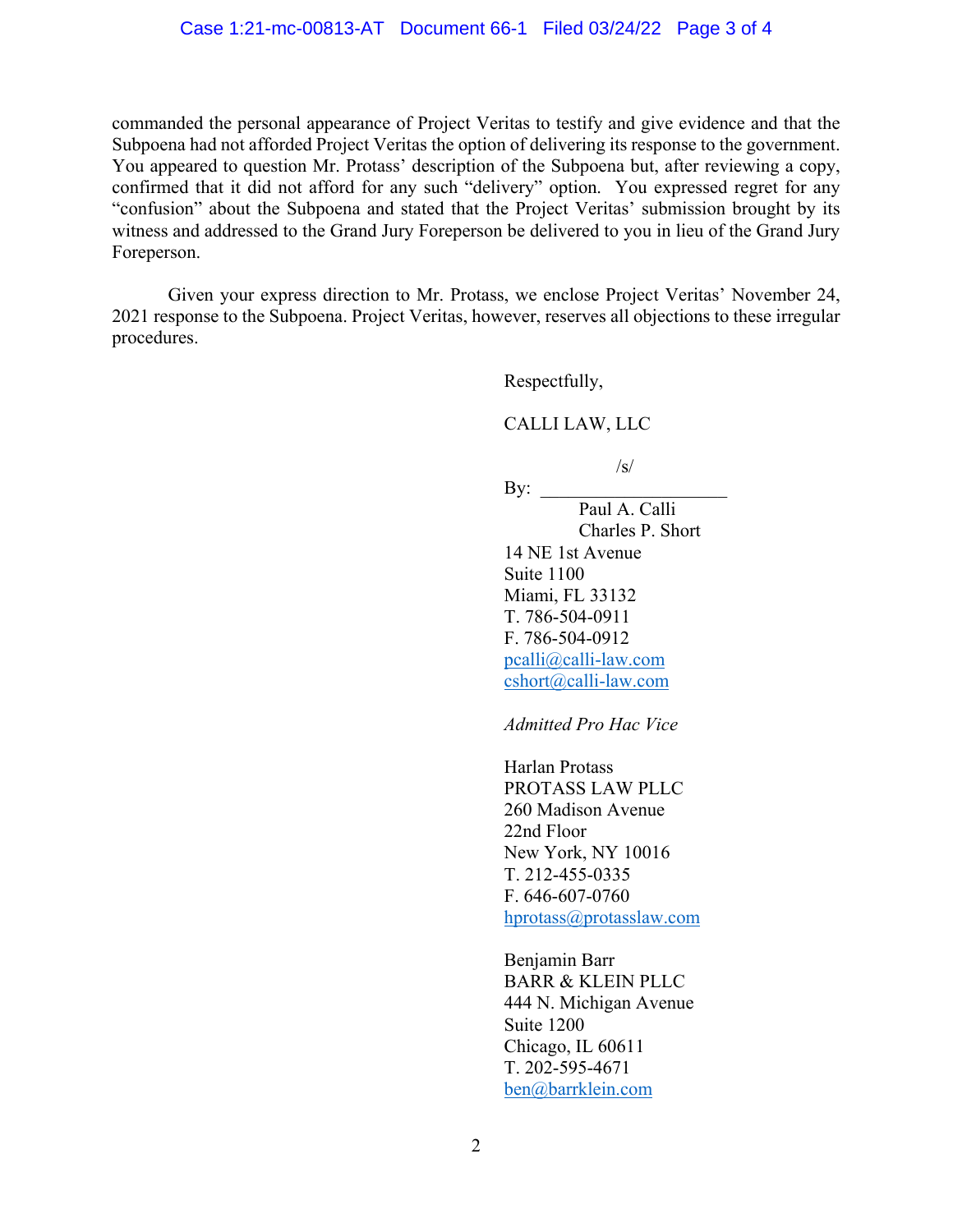commanded the personal appearance of Project Veritas to testify and give evidence and that the Subpoena had not afforded Project Veritas the option of delivering its response to the government. You appeared to question Mr. Protass' description of the Subpoena but, after reviewing a copy, confirmed that it did not afford for any such "delivery" option. You expressed regret for any "confusion" about the Subpoena and stated that the Project Veritas' submission brought by its witness and addressed to the Grand Jury Foreperson be delivered to you in lieu of the Grand Jury Foreperson.

 Given your express direction to Mr. Protass, we enclose Project Veritas' November 24, 2021 response to the Subpoena. Project Veritas, however, reserves all objections to these irregular procedures.

Respectfully,

### CALLI LAW, LLC

 $\sqrt{s}$ /

 $\rm\,By:$  Paul A. Calli Charles P. Short 14 NE 1st Avenue Suite 1100 Miami, FL 33132 T. 786-504-0911 F. 786-504-0912 pcalli@calli-law.com cshort@calli-law.com

*Admitted Pro Hac Vice* 

Harlan Protass PROTASS LAW PLLC 260 Madison Avenue 22nd Floor New York, NY 10016 T. 212-455-0335 F. 646-607-0760 hprotass@protasslaw.com

 Benjamin Barr BARR & KLEIN PLLC 444 N. Michigan Avenue Suite 1200 Chicago, IL 60611 T. 202-595-4671 ben@barrklein.com